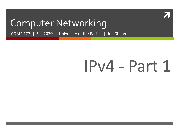

#### Computer Networking

COMP 177 | Fall 2020 | University of the Pacific | Jeff Shafer

# IPv4 - Part 1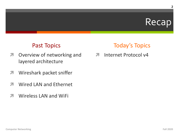#### Recap

#### **Past Topics**

- Overview of networking and 7 layered architecture
- Wireshark packet sniffer 7
- **Wired LAN and Ethernet**  $\mathcal{F}_{\mathbb{C}}$
- **Wireless LAN and WiFi** 71

#### **Today's Topics**

Internet Protocol v4  $\overline{\bf{z}}$ 

 $\overline{2}$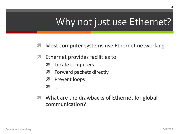### Why not just use Ethernet?

- Most computer systems use Ethernet networking  $\overline{\mathcal{A}}$
- Ethernet provides facilities to 7
	- Locate computers  $\overline{\phantom{a}}$
	- Forward packets directly 7
	- **Prevent loops**  $\overline{\phantom{a}}$
	-
- **7** What are the drawbacks of Ethernet for global communication?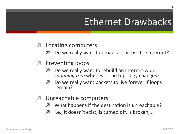#### **Ethernet Drawbacks**

#### **7** Locating computers

- Do we really want to broadcast across the Internet?
- **7** Preventing loops
	- Do we really want to rebuild an Internet-wide spanning tree whenever the topology changes?
	- Do we really want packets to live forever if loops  $\overline{\phantom{a}}$ remain?
- **7** Unreachable computers
	- What happens if the destination is unreachable?
	- i.e., it doesn't exist, is turned off, is broken, ...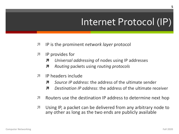#### Internet Protocol (IP)

- $\mathbf{z}$ IP is the prominent *network layer* protocol
- IP provides for 7
	- Universal addressing of nodes using IP addresses Л
	- Routing packets using routing protocols 7
- IP headers include 7
	- Source IP address: the address of the ultimate sender Я
	- Destingtion IP address: the address of the ultimate receiver Я.
- Routers use the destination IP address to determine next hop 7
- Using IP, a packet can be delivered from any arbitrary node to 71 any other as long as the two ends are publicly available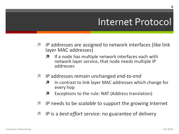#### Internet Protocol

- IP addresses are assigned to network interfaces (like link)  $\overline{\phantom{a}}$ layer MAC addresses)
	- If a node has multiple network interfaces each with 7 network layer service, that node needs multiple IP addresses
- IP addresses remain unchanged end-to-end  $\overline{\phantom{a}}$ 
	- In contrast to link layer MAC addresses which change for every hop
	- Exceptions to the rule: NAT (Address translation) 7
- IP needs to be *scalable* to support the growing Internet 7
- IP is a *best-effort* service: no guarantee of delivery 7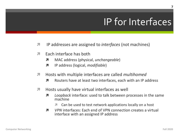### IP for Interfaces

- $\overline{\mathbf{z}}$ IP addresses are assigned to *interfaces* (not machines)
- Fach interface has both 7
	- MAC address (physical, unchangeable) 7
	- 7 IP address (logical, *modifiable*)
- Hosts with multiple interfaces are called *multihomed* 7
	- $\overline{\mathbf{z}}$ Routers have at least two interfaces, each with an IP address
- Hosts usually have virtual interfaces as well 7
	- Loopback interface: used to talk between processes in the same 7 machine
		- Can be used to test network applications locally on a host
	- VPN interfaces: Each end of VPN connection creates a virtual 7 interface with an assigned IP address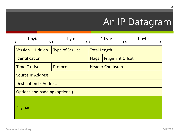#### An IP Datagram

|                                       | 1 byte        | 1 byte                 |                        | 1 byte | 1 byte |  |
|---------------------------------------|---------------|------------------------|------------------------|--------|--------|--|
| <b>Version</b>                        | <b>HdrLen</b> | <b>Type of Service</b> | <b>Total Length</b>    |        |        |  |
| Identification                        |               | <b>Flags</b>           | <b>Fragment Offset</b> |        |        |  |
| <b>Time-To-Live</b>                   |               | Protocol               | <b>Header Checksum</b> |        |        |  |
| <b>Source IP Address</b>              |               |                        |                        |        |        |  |
| <b>Destination IP Address</b>         |               |                        |                        |        |        |  |
| <b>Options and padding (optional)</b> |               |                        |                        |        |        |  |
| Payload                               |               |                        |                        |        |        |  |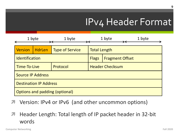|                                | 1 byte        | 1 byte                 |                                        | 1 byte | 1 byte |
|--------------------------------|---------------|------------------------|----------------------------------------|--------|--------|
| <b>Version</b>                 | <b>HdrLen</b> | <b>Type of Service</b> | <b>Total Length</b>                    |        |        |
| Identification                 |               |                        | <b>Fragment Offset</b><br><b>Flags</b> |        |        |
| Time-To-Live                   |               | Protocol               | <b>Header Checksum</b>                 |        |        |
| <b>Source IP Address</b>       |               |                        |                                        |        |        |
| <b>Destination IP Address</b>  |               |                        |                                        |        |        |
| Options and padding (optional) |               |                        |                                        |        |        |

Version: IPv4 or IPv6 (and other uncommon options)

**7** Header Length: Total length of IP packet header in 32-bit words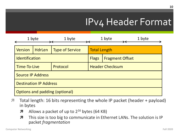|                               | 1 byte                                | 1 byte                 | 1 byte                 |                        | 1 byte |
|-------------------------------|---------------------------------------|------------------------|------------------------|------------------------|--------|
| <b>Version</b>                | <b>HdrLen</b>                         | <b>Type of Service</b> | <b>Total Length</b>    |                        |        |
| Identification                |                                       |                        | <b>Flags</b>           | <b>Fragment Offset</b> |        |
| Time-To-Live                  |                                       | Protocol               | <b>Header Checksum</b> |                        |        |
| <b>Source IP Address</b>      |                                       |                        |                        |                        |        |
| <b>Destination IP Address</b> |                                       |                        |                        |                        |        |
|                               | <b>Options and padding (optional)</b> |                        |                        |                        |        |

- Total length: 16 bits representing the whole IP packet (header + payload) in bytes
	- $\lambda$  Allows a packet of up to  $2^{16}$  bytes (64 KB)
	- **7** This size is too big to communicate in Ethernet LANs. The solution is IP packet *fragmentation*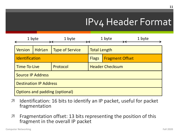|                          | 1 byte                        | 1 byte                                | 1 byte                                 |  | 1 byte |
|--------------------------|-------------------------------|---------------------------------------|----------------------------------------|--|--------|
| <b>Version</b>           | <b>HdrLen</b>                 | <b>Type of Service</b>                | <b>Total Length</b>                    |  |        |
| <b>Identification</b>    |                               |                                       | <b>Flags</b><br><b>Fragment Offset</b> |  |        |
| Time-To-Live             |                               | Protocol                              | <b>Header Checksum</b>                 |  |        |
| <b>Source IP Address</b> |                               |                                       |                                        |  |        |
|                          | <b>Destination IP Address</b> |                                       |                                        |  |        |
|                          |                               | <b>Options and padding (optional)</b> |                                        |  |        |

- **7** Identification: 16 bits to identify an IP packet, useful for packet fragmentation
- **7** Fragmentation offset: 13 bits representing the position of this fragment in the overall IP packet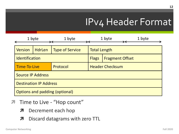|                                       | 1 byte        | 1 byte                 |                                        | 1 byte | 1 byte |
|---------------------------------------|---------------|------------------------|----------------------------------------|--------|--------|
| <b>Version</b>                        | <b>HdrLen</b> | <b>Type of Service</b> | <b>Total Length</b>                    |        |        |
| Identification                        |               |                        | <b>Flags</b><br><b>Fragment Offset</b> |        |        |
| Time-To-Live                          |               | Protocol               | <b>Header Checksum</b>                 |        |        |
| <b>Source IP Address</b>              |               |                        |                                        |        |        |
| <b>Destination IP Address</b>         |               |                        |                                        |        |        |
| <b>Options and padding (optional)</b> |               |                        |                                        |        |        |

- Time to Live "Hop count"  $\overline{\mathcal{A}}$ 
	- Decrement each hop 7
	- Discard datagrams with zero TTL 7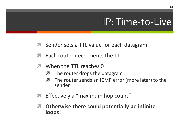#### IP: Time-to-Live

- **A** Sender sets a TTL value for each datagram
- Each router decrements the TTL
- When the TTL reaches 0
	- **7** The router drops the datagram
	- The router sends an ICMP error (more later) to the Я. sender
- Effectively a "maximum hop count"  $\boldsymbol{\pi}$
- Otherwise there could potentially be infinite 7 loops!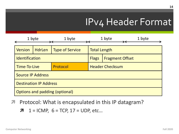|                                | 1 byte<br>1 byte |                        |                                        | 1 byte | 1 byte |
|--------------------------------|------------------|------------------------|----------------------------------------|--------|--------|
| <b>Version</b>                 | <b>HdrLen</b>    | <b>Type of Service</b> | <b>Total Length</b>                    |        |        |
| <b>Identification</b>          |                  |                        | <b>Flags</b><br><b>Fragment Offset</b> |        |        |
| Time-To-Live                   |                  | Protocol               | <b>Header Checksum</b>                 |        |        |
| <b>Source IP Address</b>       |                  |                        |                                        |        |        |
| <b>Destination IP Address</b>  |                  |                        |                                        |        |        |
| Options and padding (optional) |                  |                        |                                        |        |        |

Protocol: What is encapsulated in this IP datagram?  $\overline{\mathcal{A}}$ 

 $1 = ICMP$ ,  $6 = TCP$ ,  $17 = UDP$ , etc...  $\overline{\phantom{a}}$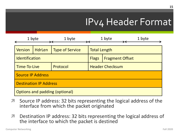|                                       | 1 byte        | 1 byte                 | 1 byte                                 |  | 1 byte |
|---------------------------------------|---------------|------------------------|----------------------------------------|--|--------|
| <b>Version</b>                        | <b>HdrLen</b> | <b>Type of Service</b> | <b>Total Length</b>                    |  |        |
| <b>Identification</b>                 |               |                        | <b>Flags</b><br><b>Fragment Offset</b> |  |        |
| Time-To-Live                          |               | Protocol               | <b>Header Checksum</b>                 |  |        |
| <b>Source IP Address</b>              |               |                        |                                        |  |        |
| <b>Destination IP Address</b>         |               |                        |                                        |  |        |
| <b>Options and padding (optional)</b> |               |                        |                                        |  |        |

- Source IP address: 32 bits representing the logical address of the interface from which the packet originated
- **7** Destination IP address: 32 bits representing the logical address of the interface to which the packet is destined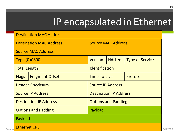### IP encapsulated in Ethernet

|       | <b>Destination MAC Address</b> |                                |                               |               |                        |                  |
|-------|--------------------------------|--------------------------------|-------------------------------|---------------|------------------------|------------------|
|       |                                | <b>Destination MAC Address</b> | <b>Source MAC Address</b>     |               |                        |                  |
|       |                                | <b>Source MAC Address</b>      |                               |               |                        |                  |
|       |                                | <b>Type (0x0800)</b>           | <b>Version</b>                | <b>HdrLen</b> | <b>Type of Service</b> |                  |
|       | <b>Total Length</b>            |                                | <b>Identification</b>         |               |                        |                  |
|       | <b>Flags</b>                   | <b>Fragment Offset</b>         | Time-To-Live<br>Protocol      |               |                        |                  |
|       | <b>Header Checksum</b>         |                                | <b>Source IP Address</b>      |               |                        |                  |
|       | <b>Source IP Address</b>       |                                | <b>Destination IP Address</b> |               |                        |                  |
|       |                                | <b>Destination IP Address</b>  | <b>Options and Padding</b>    |               |                        |                  |
|       |                                | <b>Options and Padding</b>     | Payload                       |               |                        |                  |
|       | Payload                        |                                |                               |               |                        |                  |
| Compu | <b>Ethernet CRC</b>            |                                |                               |               |                        | <b>Fall 2020</b> |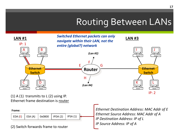#### Routing Between LANs



IP: 2

(1) A (1) transmits to  $L(2)$  using IP. Ethernet frame destination is router

**Frame:**

EDA (E) | ESA (A) | 0x0800 | IPDA (2) | IPSA (1)

(2) Switch forwards frame to router

*Ethernet Destination Address: MAC Addr of E Ethernet Source Address: MAC Addr of A IP Destination Address: IP of L IP Source Address: IP of A*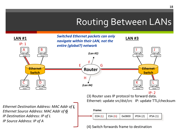#### Routing Between LANs

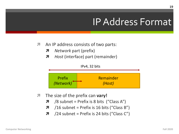#### IP Address Format

- *A* An IP address consists of two parts:
	- *A* Network part (prefix)
	- *A Host* (interface) part (remainder)



- *i* **The size of the prefix can vary!** 
	- $\lambda$  /8 subnet = Prefix is 8 bits ("Class A")
	- $\lambda$  /16 subnet = Prefix is 16 bits ("Class B")
	- **7** /24 subnet = Prefix is 24 bits ("Class C")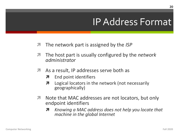#### **IP Address Format**

- $\overline{\phantom{a}}$ The network part is assigned by the *ISP*
- The host part is usually configured by the *network*  $\overline{\phantom{a}}$ administrator
- As a result, IP addresses serve both as 7
	- End point identifiers 7
	- 7 Logical locators in the network (not necessarily geographically)
- Note that MAC addresses are not locators, but only 71 endpoint identifiers
	- Knowing a MAC address does not help you locate that  $\boldsymbol{\pi}$ machine in the global Internet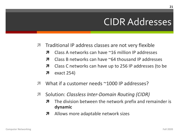#### **CIDR Addresses**

- Traditional IP address classes are not very flexible 71
	- Class A networks can have  $\sim$ 16 million IP addresses 7
	- Class B networks can have  $\sim$  64 thousand IP addresses 7
	- Class C networks can have up to 256 IP addresses (to be 7
	- exact 254) 7
- What if a customer needs ~1000 IP addresses?  $\overline{\phantom{a}}$
- Solution: Classless Inter-Domain Routing (CIDR) 71
	- The division between the network prefix and remainder is 7 dynamic
	- 7 Allows more adaptable network sizes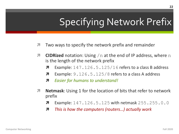### **Specifying Network Prefix**

- 7 Two ways to specify the network prefix and remainder
- **CIDRized** notation: Using  $/n$  at the end of IP address, where n 7 is the length of the network prefix
	- Example:  $147.126.5.125/16$  refers to a class B address Л
	- Example: 9.126.5.125/8 refers to a class A address Л.
	- 7 **Easier for humans to understand!**
- **Netmask:** Using 1 for the location of bits that refer to network 7 prefix
	- **Example: 147.126.5.125 with netmask 255.255.0.0** 7
	- This is how the computers (routers...) actually work 7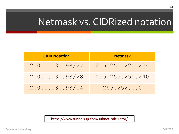### Netmask vs. CIDRized nota

| <b>CIDR Notation</b> | <b>Netmask</b>  |
|----------------------|-----------------|
| 200.1.130.98/27      | 255.255.225.224 |
| 200.1.130.98/28      | 255.255.255.240 |
| 200.1.130.98/14      | 255.252.0.0     |

https://www.tunnelsup.com/subnet-calculator/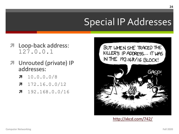### **Special IP Addre**

- Loop-back address:  $127.0.0.1$
- Unrouted (private) IP 7 addresses:
	- $10.0.0.0/8$ 7
	- $7 172.16.0.0/12$
	- $7 192.168.0.0/16$

BUT WHEN SHE TRACED KILLER'S IP ADDRESS... IT IN THE 192.168/16 BLO Gı



http://xkcd.com/742/